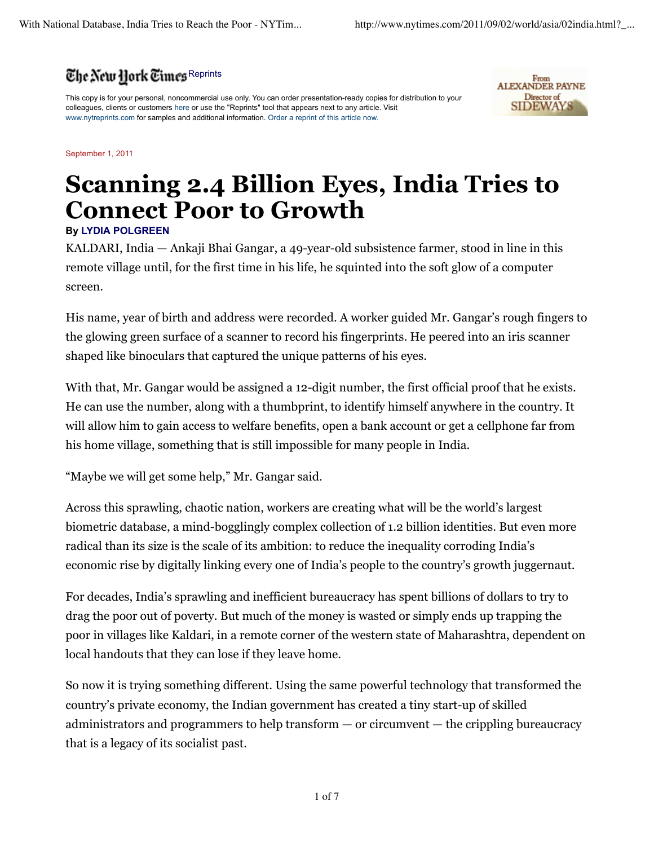## The New Hork Times Reprints

This copy is for your personal, noncommercial use only. You can order presentation-ready copies for distribution to your colleagues, clients or customers here or use the "Reprints" tool that appears next to any article. Visit www.nytreprints.com for samples and additional information. Order a reprint of this article now.

September 1, 2011



# **Scanning 2.4 Billion Eyes, India Tries to Connect Poor to Growth**

#### **By LYDIA POLGREEN**

KALDARI, India — Ankaji Bhai Gangar, a 49-year-old subsistence farmer, stood in line in this remote village until, for the first time in his life, he squinted into the soft glow of a computer screen.

His name, year of birth and address were recorded. A worker guided Mr. Gangar's rough fingers to the glowing green surface of a scanner to record his fingerprints. He peered into an iris scanner shaped like binoculars that captured the unique patterns of his eyes.

With that, Mr. Gangar would be assigned a 12-digit number, the first official proof that he exists. He can use the number, along with a thumbprint, to identify himself anywhere in the country. It will allow him to gain access to welfare benefits, open a bank account or get a cellphone far from his home village, something that is still impossible for many people in India.

"Maybe we will get some help," Mr. Gangar said.

Across this sprawling, chaotic nation, workers are creating what will be the world's largest biometric database, a mind-bogglingly complex collection of 1.2 billion identities. But even more radical than its size is the scale of its ambition: to reduce the inequality corroding India's economic rise by digitally linking every one of India's people to the country's growth juggernaut.

For decades, India's sprawling and inefficient bureaucracy has spent billions of dollars to try to drag the poor out of poverty. But much of the money is wasted or simply ends up trapping the poor in villages like Kaldari, in a remote corner of the western state of Maharashtra, dependent on local handouts that they can lose if they leave home.

So now it is trying something different. Using the same powerful technology that transformed the country's private economy, the Indian government has created a tiny start-up of skilled administrators and programmers to help transform — or circumvent — the crippling bureaucracy that is a legacy of its socialist past.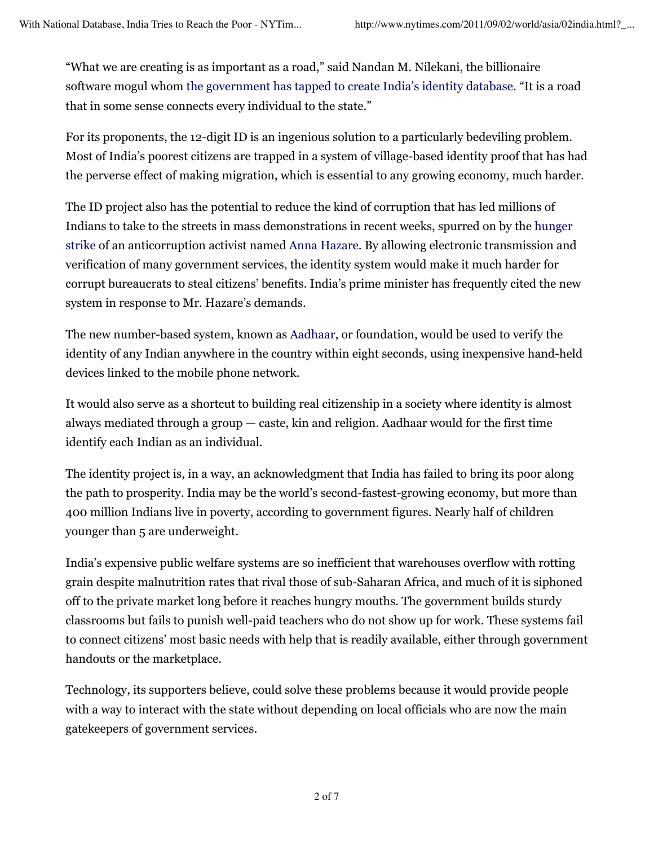"What we are creating is as important as a road," said Nandan M. Nilekani, the billionaire software mogul whom the government has tapped to create India's identity database. "It is a road that in some sense connects every individual to the state."

For its proponents, the 12-digit ID is an ingenious solution to a particularly bedeviling problem. Most of India's poorest citizens are trapped in a system of village-based identity proof that has had the perverse effect of making migration, which is essential to any growing economy, much harder.

The ID project also has the potential to reduce the kind of corruption that has led millions of Indians to take to the streets in mass demonstrations in recent weeks, spurred on by the hunger strike of an anticorruption activist named Anna Hazare. By allowing electronic transmission and verification of many government services, the identity system would make it much harder for corrupt bureaucrats to steal citizens' benefits. India's prime minister has frequently cited the new system in response to Mr. Hazare's demands.

The new number-based system, known as Aadhaar, or foundation, would be used to verify the identity of any Indian anywhere in the country within eight seconds, using inexpensive hand-held devices linked to the mobile phone network.

It would also serve as a shortcut to building real citizenship in a society where identity is almost always mediated through a group — caste, kin and religion. Aadhaar would for the first time identify each Indian as an individual.

The identity project is, in a way, an acknowledgment that India has failed to bring its poor along the path to prosperity. India may be the world's second-fastest-growing economy, but more than 400 million Indians live in poverty, according to government figures. Nearly half of children younger than 5 are underweight.

India's expensive public welfare systems are so inefficient that warehouses overflow with rotting grain despite malnutrition rates that rival those of sub-Saharan Africa, and much of it is siphoned off to the private market long before it reaches hungry mouths. The government builds sturdy classrooms but fails to punish well-paid teachers who do not show up for work. These systems fail to connect citizens' most basic needs with help that is readily available, either through government handouts or the marketplace.

Technology, its supporters believe, could solve these problems because it would provide people with a way to interact with the state without depending on local officials who are now the main gatekeepers of government services.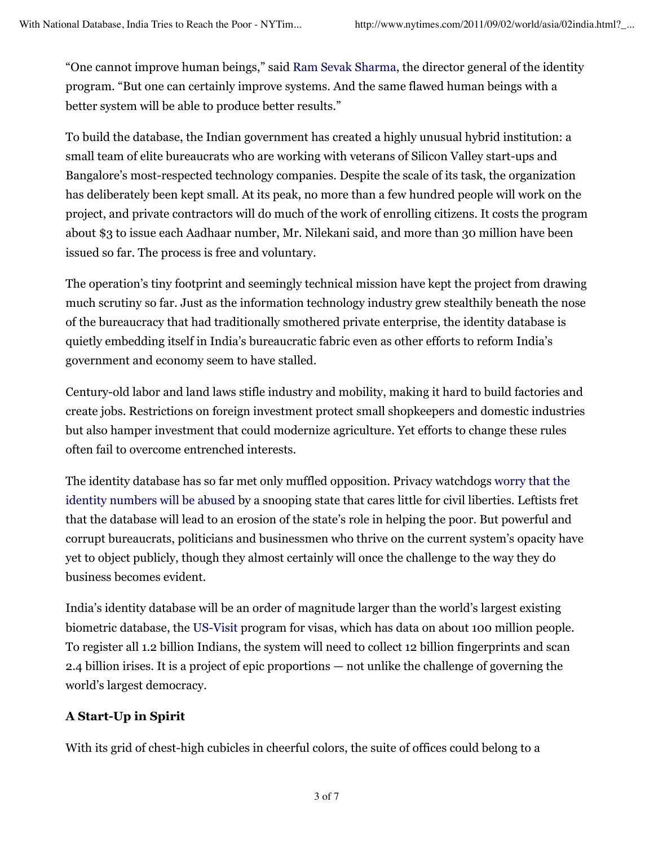"One cannot improve human beings," said Ram Sevak Sharma, the director general of the identity program. "But one can certainly improve systems. And the same flawed human beings with a better system will be able to produce better results."

To build the database, the Indian government has created a highly unusual hybrid institution: a small team of elite bureaucrats who are working with veterans of Silicon Valley start-ups and Bangalore's most-respected technology companies. Despite the scale of its task, the organization has deliberately been kept small. At its peak, no more than a few hundred people will work on the project, and private contractors will do much of the work of enrolling citizens. It costs the program about \$3 to issue each Aadhaar number, Mr. Nilekani said, and more than 30 million have been issued so far. The process is free and voluntary.

The operation's tiny footprint and seemingly technical mission have kept the project from drawing much scrutiny so far. Just as the information technology industry grew stealthily beneath the nose of the bureaucracy that had traditionally smothered private enterprise, the identity database is quietly embedding itself in India's bureaucratic fabric even as other efforts to reform India's government and economy seem to have stalled.

Century-old labor and land laws stifle industry and mobility, making it hard to build factories and create jobs. Restrictions on foreign investment protect small shopkeepers and domestic industries but also hamper investment that could modernize agriculture. Yet efforts to change these rules often fail to overcome entrenched interests.

The identity database has so far met only muffled opposition. Privacy watchdogs worry that the identity numbers will be abused by a snooping state that cares little for civil liberties. Leftists fret that the database will lead to an erosion of the state's role in helping the poor. But powerful and corrupt bureaucrats, politicians and businessmen who thrive on the current system's opacity have yet to object publicly, though they almost certainly will once the challenge to the way they do business becomes evident.

India's identity database will be an order of magnitude larger than the world's largest existing biometric database, the US-Visit program for visas, which has data on about 100 million people. To register all 1.2 billion Indians, the system will need to collect 12 billion fingerprints and scan 2.4 billion irises. It is a project of epic proportions — not unlike the challenge of governing the world's largest democracy.

## **A Start-Up in Spirit**

With its grid of chest-high cubicles in cheerful colors, the suite of offices could belong to a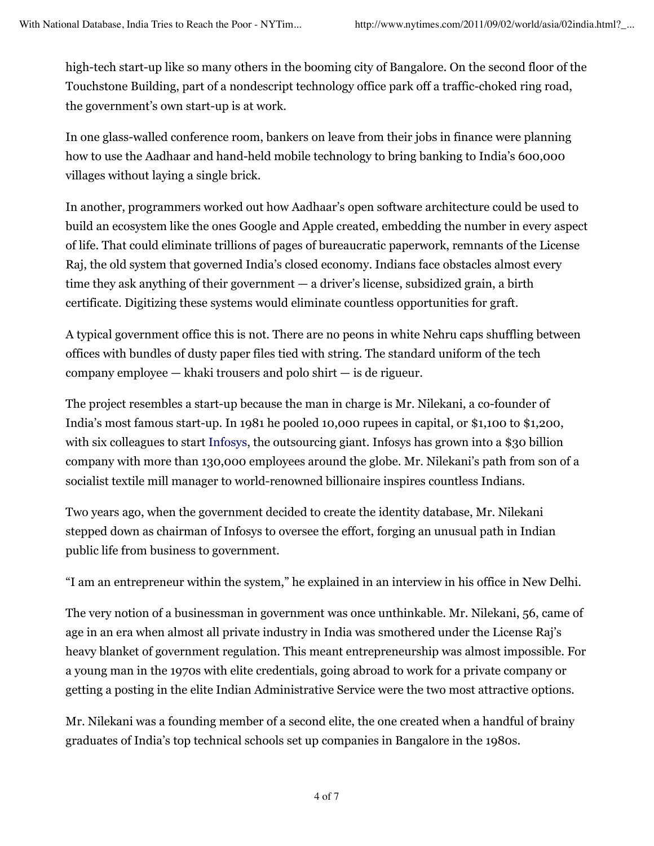high-tech start-up like so many others in the booming city of Bangalore. On the second floor of the Touchstone Building, part of a nondescript technology office park off a traffic-choked ring road, the government's own start-up is at work.

In one glass-walled conference room, bankers on leave from their jobs in finance were planning how to use the Aadhaar and hand-held mobile technology to bring banking to India's 600,000 villages without laying a single brick.

In another, programmers worked out how Aadhaar's open software architecture could be used to build an ecosystem like the ones Google and Apple created, embedding the number in every aspect of life. That could eliminate trillions of pages of bureaucratic paperwork, remnants of the License Raj, the old system that governed India's closed economy. Indians face obstacles almost every time they ask anything of their government — a driver's license, subsidized grain, a birth certificate. Digitizing these systems would eliminate countless opportunities for graft.

A typical government office this is not. There are no peons in white Nehru caps shuffling between offices with bundles of dusty paper files tied with string. The standard uniform of the tech company employee — khaki trousers and polo shirt — is de rigueur.

The project resembles a start-up because the man in charge is Mr. Nilekani, a co-founder of India's most famous start-up. In 1981 he pooled 10,000 rupees in capital, or \$1,100 to \$1,200, with six colleagues to start Infosys, the outsourcing giant. Infosys has grown into a \$30 billion company with more than 130,000 employees around the globe. Mr. Nilekani's path from son of a socialist textile mill manager to world-renowned billionaire inspires countless Indians.

Two years ago, when the government decided to create the identity database, Mr. Nilekani stepped down as chairman of Infosys to oversee the effort, forging an unusual path in Indian public life from business to government.

"I am an entrepreneur within the system," he explained in an interview in his office in New Delhi.

The very notion of a businessman in government was once unthinkable. Mr. Nilekani, 56, came of age in an era when almost all private industry in India was smothered under the License Raj's heavy blanket of government regulation. This meant entrepreneurship was almost impossible. For a young man in the 1970s with elite credentials, going abroad to work for a private company or getting a posting in the elite Indian Administrative Service were the two most attractive options.

Mr. Nilekani was a founding member of a second elite, the one created when a handful of brainy graduates of India's top technical schools set up companies in Bangalore in the 1980s.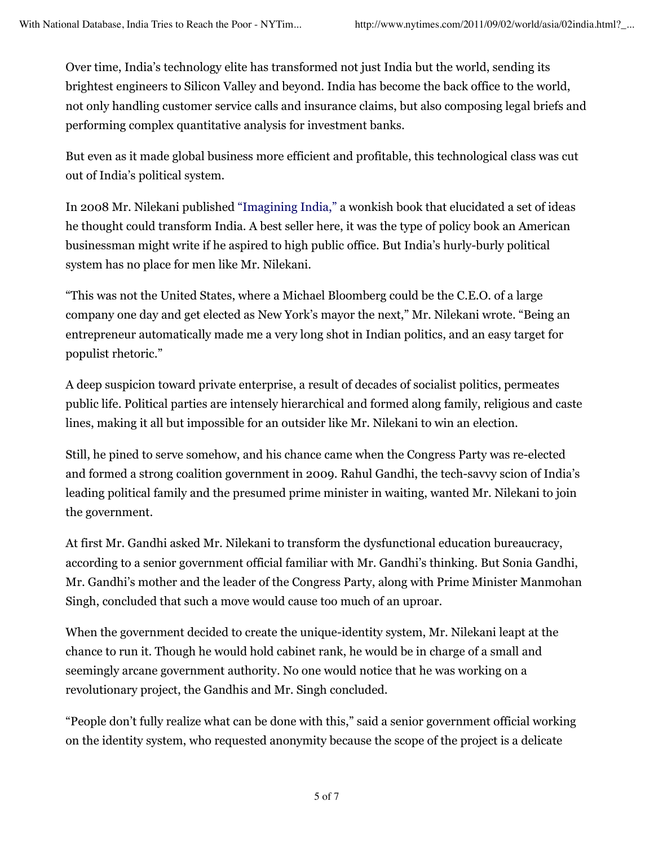Over time, India's technology elite has transformed not just India but the world, sending its brightest engineers to Silicon Valley and beyond. India has become the back office to the world, not only handling customer service calls and insurance claims, but also composing legal briefs and performing complex quantitative analysis for investment banks.

But even as it made global business more efficient and profitable, this technological class was cut out of India's political system.

In 2008 Mr. Nilekani published "Imagining India," a wonkish book that elucidated a set of ideas he thought could transform India. A best seller here, it was the type of policy book an American businessman might write if he aspired to high public office. But India's hurly-burly political system has no place for men like Mr. Nilekani.

"This was not the United States, where a Michael Bloomberg could be the C.E.O. of a large company one day and get elected as New York's mayor the next," Mr. Nilekani wrote. "Being an entrepreneur automatically made me a very long shot in Indian politics, and an easy target for populist rhetoric."

A deep suspicion toward private enterprise, a result of decades of socialist politics, permeates public life. Political parties are intensely hierarchical and formed along family, religious and caste lines, making it all but impossible for an outsider like Mr. Nilekani to win an election.

Still, he pined to serve somehow, and his chance came when the Congress Party was re-elected and formed a strong coalition government in 2009. Rahul Gandhi, the tech-savvy scion of India's leading political family and the presumed prime minister in waiting, wanted Mr. Nilekani to join the government.

At first Mr. Gandhi asked Mr. Nilekani to transform the dysfunctional education bureaucracy, according to a senior government official familiar with Mr. Gandhi's thinking. But Sonia Gandhi, Mr. Gandhi's mother and the leader of the Congress Party, along with Prime Minister Manmohan Singh, concluded that such a move would cause too much of an uproar.

When the government decided to create the unique-identity system, Mr. Nilekani leapt at the chance to run it. Though he would hold cabinet rank, he would be in charge of a small and seemingly arcane government authority. No one would notice that he was working on a revolutionary project, the Gandhis and Mr. Singh concluded.

"People don't fully realize what can be done with this," said a senior government official working on the identity system, who requested anonymity because the scope of the project is a delicate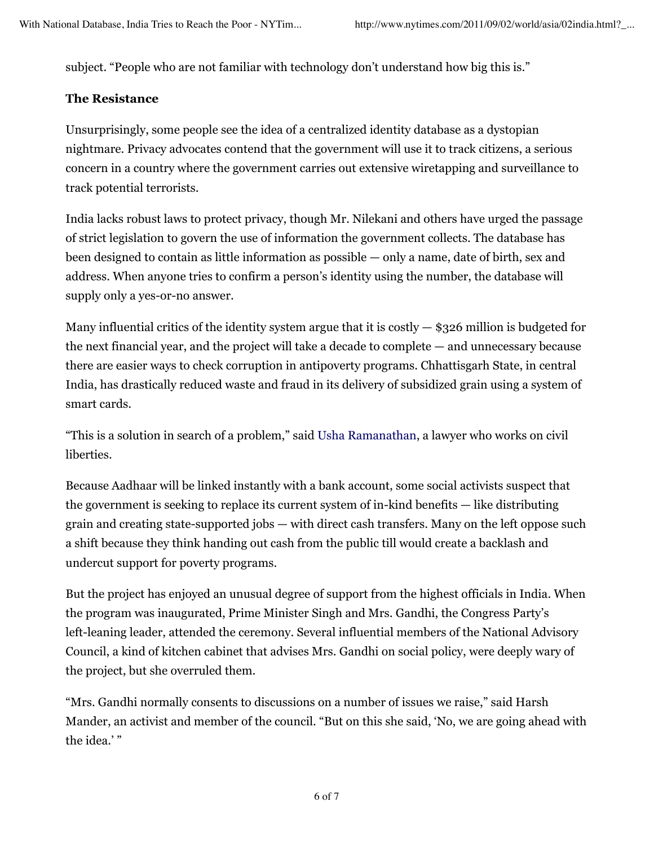subject. "People who are not familiar with technology don't understand how big this is."

#### **The Resistance**

Unsurprisingly, some people see the idea of a centralized identity database as a dystopian nightmare. Privacy advocates contend that the government will use it to track citizens, a serious concern in a country where the government carries out extensive wiretapping and surveillance to track potential terrorists.

India lacks robust laws to protect privacy, though Mr. Nilekani and others have urged the passage of strict legislation to govern the use of information the government collects. The database has been designed to contain as little information as possible — only a name, date of birth, sex and address. When anyone tries to confirm a person's identity using the number, the database will supply only a yes-or-no answer.

Many influential critics of the identity system argue that it is costly — \$326 million is budgeted for the next financial year, and the project will take a decade to complete — and unnecessary because there are easier ways to check corruption in antipoverty programs. Chhattisgarh State, in central India, has drastically reduced waste and fraud in its delivery of subsidized grain using a system of smart cards.

"This is a solution in search of a problem," said Usha Ramanathan, a lawyer who works on civil liberties.

Because Aadhaar will be linked instantly with a bank account, some social activists suspect that the government is seeking to replace its current system of in-kind benefits — like distributing grain and creating state-supported jobs — with direct cash transfers. Many on the left oppose such a shift because they think handing out cash from the public till would create a backlash and undercut support for poverty programs.

But the project has enjoyed an unusual degree of support from the highest officials in India. When the program was inaugurated, Prime Minister Singh and Mrs. Gandhi, the Congress Party's left-leaning leader, attended the ceremony. Several influential members of the National Advisory Council, a kind of kitchen cabinet that advises Mrs. Gandhi on social policy, were deeply wary of the project, but she overruled them.

"Mrs. Gandhi normally consents to discussions on a number of issues we raise," said Harsh Mander, an activist and member of the council. "But on this she said, 'No, we are going ahead with the idea.'"